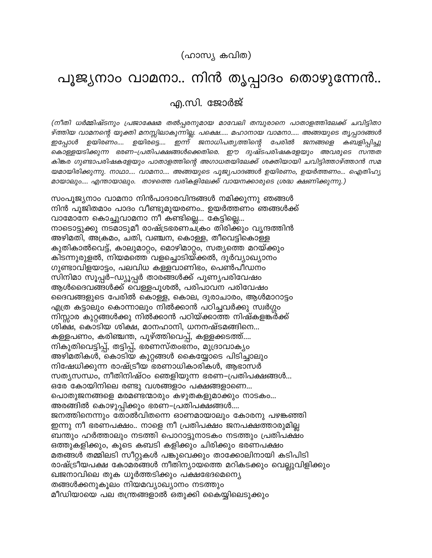## പൂജ്യനാം വാമനാ.. നിൻ തൃപ്പാദം തൊഴുന്നേൻ..

എ.സി. ജോർജ്

(നീതി ധർമ്മിഷ്ടനും പ്രജാക്ഷേമ തൽപ്പരനുമായ മാവേലി തമ്പുരാനെ പാതാളത്തിലേക്ക് ചവിട്ടിതാ ഴ്ത്തിയ വാമനന്റെ യുക്തി മനസ്സിലാകുന്നില്ല. പക്ഷെ..... മഹാനായ വാമനാ..... അങ്ങയുടെ തൃപ്പാദങ്ങൾ ഇപ്പോൾ ഉയിരണം.... ഉയിരട്ടെ.... ഇന്ന് ജനാധിപത്യത്തിന്റെ ജനങ്ങളെ പേരിൽ കബളിപ്പിച്ചു കൊള്ളയടിക്കുന്ന ഭരണ–പ്രതിപക്ഷങ്ങൾക്കെതിരെ. ഈ ദുഷ്ടപരിഷകളേയും അവരുടെ സന്തത കിങ്കര ഗുണ്ടാപരിഷകളേയും പാതാളത്തിന്റെ അഗാധതയിലേക്ക് ശക്തിയായി ചവിട്ടിത്താഴ്ത്താൻ സമ യമായിരിക്കുന്നു. നാഥാ.... വാമനാ.... അങ്ങയുടെ പൂജ്യപാദങ്ങൾ ഉയിരണം, ഉയർത്തണം... ഐതിഹ്യ മായാലും.... എന്തായാലും. താഴത്തെ വരികളിലേക്ക് വായനക്കാരുടെ ശ്രദ്ധ ക്ഷണിക്കുന്നു.)

സംപൂജ്യനാം വാമനാ നിൻപാദാരവിന്ദങ്ങൾ നമിക്കുന്നു ഞങ്ങൾ നിൻ പൂജിതമാം പാദം വീണ്ടുമുയരണം.. ഉയർത്തണം ഞങ്ങൾക്ക് വാമോനേ കൊച്ചുവാമനാ നീ കണ്ടില്ലെ... കേട്ടില്ലെ... നാടൊട്ടുക്കു നടമാടുമീ രാഷ്ട്രഭരണചക്രം തിരിക്കും വൃന്ദത്തിൻ അഴിമതി, അക്രമം, ചതി, വഞ്ചന, കൊള്ള, തീവെട്ടികൊള്ള കുതികാൽവെട്ട്, കാലുമാറ്റം, മൊഴിമാറ്റം, സത്യത്തെ മറയ്ക്കും കിടന്നുരുളൽ, നിയമത്തെ വളച്ചൊടിയ്ക്കൽ, ദുർവ്യാഖ്യാനം ഗുണ്ടാവിളയാട്ടം, പലവിധ കള്ളവാണിഭം, പെൺപീഡനം സിനിമാ സൂപ്പർ–ഡ്യൂപ്പർ താരങ്ങൾക്ക് പുണ്യപരിവേഷം ആൾദൈവങ്ങൾക്ക് വെള്ളപൂശൽ, പരിപാവന പരിവേഷം ദൈവങ്ങളുടെ പേരിൽ കൊള്ള, കൊല, ദുരാചാരം, ആൾമാറാട്ടം എത്ര കട്ടാലും കൊന്നാലും നിൽക്കാൻ പഠിച്ചവർക്കു സ്വർഗ്ഗം നിസ്സാര കുറ്റങ്ങൾക്കു നിൽക്കാൻ പഠിയ്ക്കാത്ത നിഷ്കളങ്കർക്ക് ശിക്ഷ, കൊടിയ ശിക്ഷ, മാനഹാനി, ധനനഷ്ടമങ്ങിനെ... കള്ളപണം, കരിഞ്ചന്ത, പൂഴ്ത്തിവെപ്പ്, കള്ളക്കടത്ത്.... നികുതിവെട്ടിപ്പ്, തട്ടിപ്പ്, ഭരണസ്തംഭനം, മുദ്രാവാക്യം അഴിമതികൾ, കൊടിയ കുറ്റങ്ങൾ കൈയ്യോടെ പിടിച്ചാലും നിഷേധിക്കുന്ന രാഷ്ട്രീയ ഭരണാധികാരികൾ, ആഭാസർ സത്യസന്ധം, നീതിനിഷ്ഠം ഞെളിയുന്ന ഭരണ–പ്രതിപക്ഷങ്ങൾ... ഒരേ കോയിനിലെ രണ്ടു വശങ്ങളാം പക്ഷങ്ങളാണെ... പൊതുജനങ്ങളെ മരമണ്ടന്മാരും കഴുതകളുമാക്കും നാടകം... അരങ്ങിൽ കൊഴുപ്പിക്കും ഭരണ–പ്രതിപക്ഷങ്ങൾ.... ജനത്തിനെന്നും തോൽവിതന്നെ ഓണമായാലും കോരനു പഴങ്കഞ്ഞി ഇന്നു നീ ഭരണപക്ഷം.. നാളെ നീ പ്രതിപക്ഷം ജനപക്ഷത്താരുമില്ല ബന്തും ഹർത്താലും നടത്തി പൊറാട്ടുനാടകം നടത്തും പ്രതിപക്ഷം ഒത്തുകളിക്കും, കൂടെ കബടി കളിക്കും ചിരിക്കും ഭരണപക്ഷം മതങ്ങൾ തമ്മിലടി സീറ്റുകൾ പങ്കുവെക്കും താക്കോലിനായി കടിപിടി രാഷ്ട്രീയപക്ഷ കോമരങ്ങൾ നീതിന്യായത്തെ മറികടക്കും വെല്ലുവിളിക്കും ഖജനാവിലെ തുക ധൂർത്തടിക്കും പക്ഷഭേദമെന്യെ തങ്ങൾക്കനുകൂലം നിയമവ്യാഖ്യാനം നടത്തും മീഡിയായെ പല തന്ത്രങ്ങളാൽ ഒതുക്കി കൈയ്യിലെടുക്കും